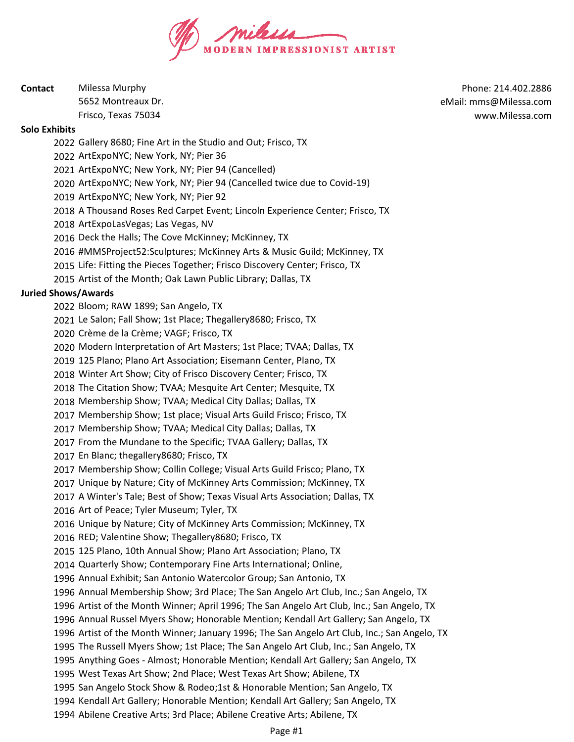

| Contact | Milessa Murphy      |
|---------|---------------------|
|         | 5652 Montreaux Dr.  |
|         | Frisco, Texas 75034 |

Phone: 214.402.2886 eMail: mms@Milessa.com www.Milessa.com

#### **Solo Exhibits**

Gallery 8680; Fine Art in the Studio and Out; Frisco, TX

ArtExpoNYC; New York, NY; Pier 36

ArtExpoNYC; New York, NY; Pier 94 (Cancelled)

ArtExpoNYC; New York, NY; Pier 94 (Cancelled twice due to Covid-19)

ArtExpoNYC; New York, NY; Pier 92

A Thousand Roses Red Carpet Event; Lincoln Experience Center; Frisco, TX

ArtExpoLasVegas; Las Vegas, NV

Deck the Halls; The Cove McKinney; McKinney, TX

2016 #MMSProject52:Sculptures; McKinney Arts & Music Guild; McKinney, TX

Life: Fitting the Pieces Together; Frisco Discovery Center; Frisco, TX

Artist of the Month; Oak Lawn Public Library; Dallas, TX

## **Juried Shows/Awards**

Bloom; RAW 1899; San Angelo, TX

Le Salon; Fall Show; 1st Place; Thegallery8680; Frisco, TX

Crème de la Crème; VAGF; Frisco, TX

Modern Interpretation of Art Masters; 1st Place; TVAA; Dallas, TX

125 Plano; Plano Art Association; Eisemann Center, Plano, TX

Winter Art Show; City of Frisco Discovery Center; Frisco, TX

The Citation Show; TVAA; Mesquite Art Center; Mesquite, TX

Membership Show; TVAA; Medical City Dallas; Dallas, TX

Membership Show; 1st place; Visual Arts Guild Frisco; Frisco, TX

Membership Show; TVAA; Medical City Dallas; Dallas, TX

From the Mundane to the Specific; TVAA Gallery; Dallas, TX

En Blanc; thegallery8680; Frisco, TX

Membership Show; Collin College; Visual Arts Guild Frisco; Plano, TX

Unique by Nature; City of McKinney Arts Commission; McKinney, TX

A Winter's Tale; Best of Show; Texas Visual Arts Association; Dallas, TX

Art of Peace; Tyler Museum; Tyler, TX

Unique by Nature; City of McKinney Arts Commission; McKinney, TX

RED; Valentine Show; Thegallery8680; Frisco, TX

125 Plano, 10th Annual Show; Plano Art Association; Plano, TX

Quarterly Show; Contemporary Fine Arts International; Online,

Annual Exhibit; San Antonio Watercolor Group; San Antonio, TX

Annual Membership Show; 3rd Place; The San Angelo Art Club, Inc.; San Angelo, TX

Artist of the Month Winner; April 1996; The San Angelo Art Club, Inc.; San Angelo, TX

Annual Russel Myers Show; Honorable Mention; Kendall Art Gallery; San Angelo, TX

Artist of the Month Winner; January 1996; The San Angelo Art Club, Inc.; San Angelo, TX

The Russell Myers Show; 1st Place; The San Angelo Art Club, Inc.; San Angelo, TX

Anything Goes - Almost; Honorable Mention; Kendall Art Gallery; San Angelo, TX

West Texas Art Show; 2nd Place; West Texas Art Show; Abilene, TX

San Angelo Stock Show & Rodeo;1st & Honorable Mention; San Angelo, TX

Kendall Art Gallery; Honorable Mention; Kendall Art Gallery; San Angelo, TX

Abilene Creative Arts; 3rd Place; Abilene Creative Arts; Abilene, TX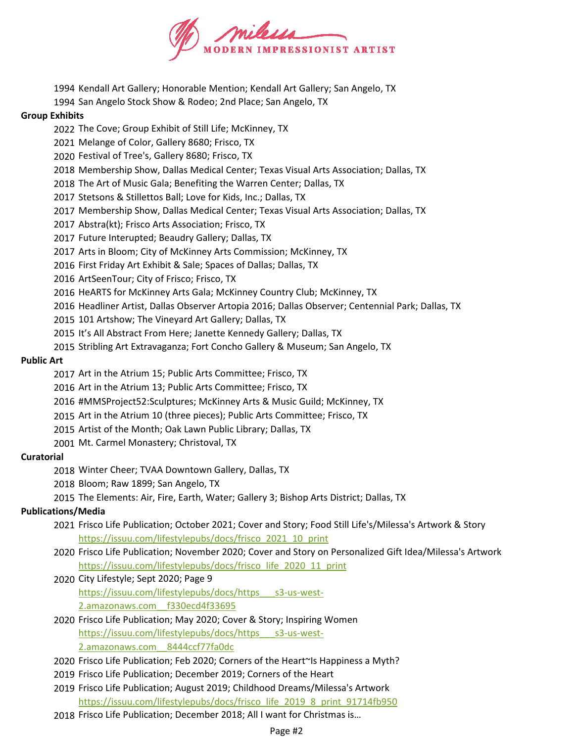

- Kendall Art Gallery; Honorable Mention; Kendall Art Gallery; San Angelo, TX
- San Angelo Stock Show & Rodeo; 2nd Place; San Angelo, TX

### **Group Exhibits**

- The Cove; Group Exhibit of Still Life; McKinney, TX
- Melange of Color, Gallery 8680; Frisco, TX
- Festival of Tree's, Gallery 8680; Frisco, TX
- Membership Show, Dallas Medical Center; Texas Visual Arts Association; Dallas, TX
- The Art of Music Gala; Benefiting the Warren Center; Dallas, TX
- Stetsons & Stillettos Ball; Love for Kids, Inc.; Dallas, TX
- Membership Show, Dallas Medical Center; Texas Visual Arts Association; Dallas, TX
- Abstra(kt); Frisco Arts Association; Frisco, TX
- Future Interupted; Beaudry Gallery; Dallas, TX
- Arts in Bloom; City of McKinney Arts Commission; McKinney, TX
- First Friday Art Exhibit & Sale; Spaces of Dallas; Dallas, TX
- ArtSeenTour; City of Frisco; Frisco, TX
- HeARTS for McKinney Arts Gala; McKinney Country Club; McKinney, TX
- Headliner Artist, Dallas Observer Artopia 2016; Dallas Observer; Centennial Park; Dallas, TX
- 101 Artshow; The Vineyard Art Gallery; Dallas, TX
- It's All Abstract From Here; Janette Kennedy Gallery; Dallas, TX
- Stribling Art Extravaganza; Fort Concho Gallery & Museum; San Angelo, TX

### **Public Art**

- Art in the Atrium 15; Public Arts Committee; Frisco, TX
- Art in the Atrium 13; Public Arts Committee; Frisco, TX
- 2016 #MMSProject52:Sculptures; McKinney Arts & Music Guild; McKinney, TX
- Art in the Atrium 10 (three pieces); Public Arts Committee; Frisco, TX
- Artist of the Month; Oak Lawn Public Library; Dallas, TX
- Mt. Carmel Monastery; Christoval, TX

### **Curatorial**

- Winter Cheer; TVAA Downtown Gallery, Dallas, TX
- Bloom; Raw 1899; San Angelo, TX
- The Elements: Air, Fire, Earth, Water; Gallery 3; Bishop Arts District; Dallas, TX

### **Publications/Media**

- Frisco Life Publication; October 2021; Cover and Story; Food Still Life's/Milessa's Artwork & Story https://issuu.com/lifestylepubs/docs/frisco\_2021\_10\_print
- Frisco Life Publication; November 2020; Cover and Story on Personalized Gift Idea/Milessa's Artwork https://issuu.com/lifestylepubs/docs/frisco\_life\_2020\_11\_print
- City Lifestyle; Sept 2020; Page 9 https://issuu.com/lifestylepubs/docs/https\_\_\_s3-us-west-2.amazonaws.com\_\_f330ecd4f33695
- Frisco Life Publication; May 2020; Cover & Story; Inspiring Women https://issuu.com/lifestylepubs/docs/https\_\_\_s3-us-west-2.amazonaws.com\_\_8444ccf77fa0dc
- Frisco Life Publication; Feb 2020; Corners of the Heart~Is Happiness a Myth?
- Frisco Life Publication; December 2019; Corners of the Heart
- Frisco Life Publication; August 2019; Childhood Dreams/Milessa's Artwork https://issuu.com/lifestylepubs/docs/frisco\_life\_2019\_8\_print\_91714fb950
- Frisco Life Publication; December 2018; All I want for Christmas is…